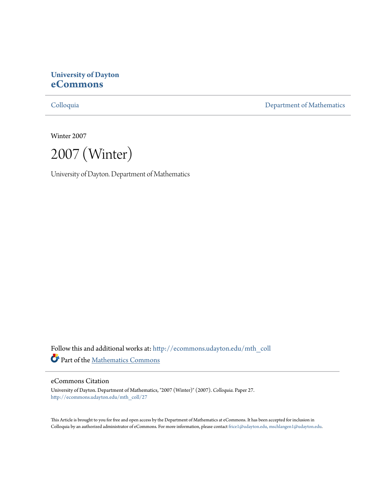# **University of Dayton [eCommons](http://ecommons.udayton.edu?utm_source=ecommons.udayton.edu%2Fmth_coll%2F27&utm_medium=PDF&utm_campaign=PDFCoverPages)**

[Colloquia](http://ecommons.udayton.edu/mth_coll?utm_source=ecommons.udayton.edu%2Fmth_coll%2F27&utm_medium=PDF&utm_campaign=PDFCoverPages) [Department of Mathematics](http://ecommons.udayton.edu/mth?utm_source=ecommons.udayton.edu%2Fmth_coll%2F27&utm_medium=PDF&utm_campaign=PDFCoverPages)

Winter 2007

2007 (Winter)

University of Dayton. Department of Mathematics

Follow this and additional works at: [http://ecommons.udayton.edu/mth\\_coll](http://ecommons.udayton.edu/mth_coll?utm_source=ecommons.udayton.edu%2Fmth_coll%2F27&utm_medium=PDF&utm_campaign=PDFCoverPages) Part of the [Mathematics Commons](http://network.bepress.com/hgg/discipline/174?utm_source=ecommons.udayton.edu%2Fmth_coll%2F27&utm_medium=PDF&utm_campaign=PDFCoverPages)

#### eCommons Citation

University of Dayton. Department of Mathematics, "2007 (Winter)" (2007). *Colloquia.* Paper 27. [http://ecommons.udayton.edu/mth\\_coll/27](http://ecommons.udayton.edu/mth_coll/27?utm_source=ecommons.udayton.edu%2Fmth_coll%2F27&utm_medium=PDF&utm_campaign=PDFCoverPages)

This Article is brought to you for free and open access by the Department of Mathematics at eCommons. It has been accepted for inclusion in Colloquia by an authorized administrator of eCommons. For more information, please contact [frice1@udayton.edu, mschlangen1@udayton.edu.](mailto:frice1@udayton.edu,%20mschlangen1@udayton.edu)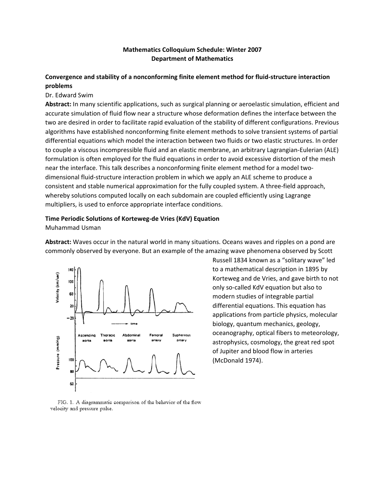### **Mathematics Colloquium Schedule: Winter 2007 Department of Mathematics**

## **Convergence and stability of a nonconforming finite element method for fluid‐structure interaction problems**

#### Dr. Edward Swim

**Abstract:** In many scientific applications, such as surgical planning or aeroelastic simulation, efficient and accurate simulation of fluid flow near a structure whose deformation defines the interface between the two are desired in order to facilitate rapid evaluation of the stability of different configurations. Previous algorithms have established nonconforming finite element methods to solve transient systems of partial differential equations which model the interaction between two fluids or two elastic structures. In order to couple a viscous incompressible fluid and an elastic membrane, an arbitrary Lagrangian‐Eulerian (ALE) formulation is often employed for the fluid equations in order to avoid excessive distortion of the mesh near the interface. This talk describes a nonconforming finite element method for a model twodimensional fluid‐structure interaction problem in which we apply an ALE scheme to produce a consistent and stable numerical approximation for the fully coupled system. A three-field approach, whereby solutions computed locally on each subdomain are coupled efficiently using Lagrange multipliers, is used to enforce appropriate interface conditions.

#### **Time Periodic Solutions of Korteweg‐de Vries (KdV) Equation**

Muhammad Usman

**Abstract:** Waves occur in the natural world in many situations. Oceans waves and ripples on a pond are commonly observed by everyone. But an example of the amazing wave phenomena observed by Scott



Russell 1834 known as a "solitary wave" led to a mathematical description in 1895 by Korteweg and de Vries, and gave birth to not only so‐called KdV equation but also to modern studies of integrable partial differential equations. This equation has applications from particle physics, molecular biology, quantum mechanics, geology, oceanography, optical fibers to meteorology, astrophysics, cosmology, the great red spot of Jupiter and blood flow in arteries (McDonald 1974).

FIG. 1. A diagrammatic comparison of the behavior of the flow velocity and pressure pulse.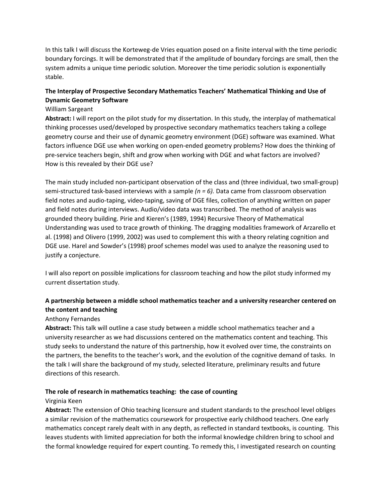In this talk I will discuss the Korteweg-de Vries equation posed on a finite interval with the time periodic boundary forcings. It will be demonstrated that if the amplitude of boundary forcings are small, then the system admits a unique time periodic solution. Moreover the time periodic solution is exponentially stable.

## **The Interplay of Prospective Secondary Mathematics Teachers' Mathematical Thinking and Use of Dynamic Geometry Software**

## William Sargeant

**Abstract:** I will report on the pilot study for my dissertation. In this study, the interplay of mathematical thinking processes used/developed by prospective secondary mathematics teachers taking a college geometry course and their use of dynamic geometry environment (DGE) software was examined. What factors influence DGE use when working on open‐ended geometry problems? How does the thinking of pre-service teachers begin, shift and grow when working with DGE and what factors are involved? How is this revealed by their DGE use?

The main study included non‐participant observation of the class and (three individual, two small‐group) semi‐structured task‐based interviews with a sample *(n = 6).* Data came from classroom observation field notes and audio‐taping, video‐taping, saving of DGE files, collection of anything written on paper and field notes during interviews. Audio/video data was transcribed. The method of analysis was grounded theory building. Pirie and Kieren's (1989, 1994) Recursive Theory of Mathematical Understanding was used to trace growth of thinking. The dragging modalities framework of Arzarello et al. (1998) and Olivero (1999, 2002) was used to complement this with a theory relating cognition and DGE use. Harel and Sowder's (1998) proof schemes model was used to analyze the reasoning used to justify a conjecture.

I will also report on possible implications for classroom teaching and how the pilot study informed my current dissertation study.

## **A partnership between a middle school mathematics teacher and a university researcher centered on the content and teaching**

## Anthony Fernandes

**Abstract:** This talk will outline a case study between a middle school mathematics teacher and a university researcher as we had discussions centered on the mathematics content and teaching. This study seeks to understand the nature of this partnership, how it evolved over time, the constraints on the partners, the benefits to the teacher's work, and the evolution of the cognitive demand of tasks. In the talk I will share the background of my study, selected literature, preliminary results and future directions of this research.

## **The role of research in mathematics teaching: the case of counting**

#### Virginia Keen

**Abstract:** The extension of Ohio teaching licensure and student standards to the preschool level obliges a similar revision of the mathematics coursework for prospective early childhood teachers. One early mathematics concept rarely dealt with in any depth, as reflected in standard textbooks, is counting. This leaves students with limited appreciation for both the informal knowledge children bring to school and the formal knowledge required for expert counting. To remedy this, I investigated research on counting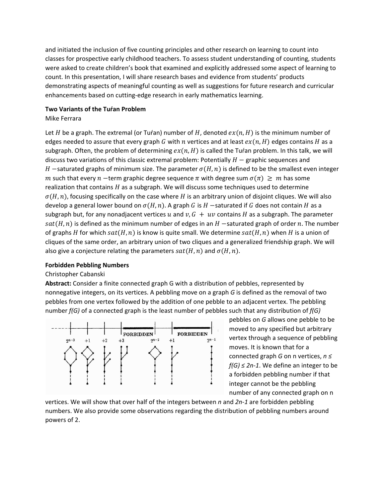and initiated the inclusion of five counting principles and other research on learning to count into classes for prospective early childhood teachers. To assess student understanding of counting, students were asked to create children's book that examined and explicitly addressed some aspect of learning to count. In this presentation, I will share research bases and evidence from students' products demonstrating aspects of meaningful counting as well as suggestions for future research and curricular enhancements based on cutting‐edge research in early mathematics learning.

#### **Two Variants of the Tuŕan Problem**

#### Mike Ferrara

Let H be a graph. The extremal (or Turan) number of H, denoted  $ex(n, H)$  is the minimum number of edges needed to assure that every graph G with n vertices and at least  $ex(n, H)$  edges contains H as a subgraph. Often, the problem of determining  $ex(n, H)$  is called the Turan problem. In this talk, we will discuss two variations of this classic extremal problem: Potentially  $H -$  graphic sequences and  $H$  -saturated graphs of minimum size. The parameter  $\sigma(H, n)$  is defined to be the smallest even integer m such that every n -term graphic degree sequence  $\pi$  with degree sum  $\sigma(\pi) \geq m$  has some realization that contains  $H$  as a subgraph. We will discuss some techniques used to determine  $\sigma(H, n)$ , focusing specifically on the case where H is an arbitrary union of disjoint cliques. We will also develop a general lower bound on  $\sigma(H, n)$ . A graph G is H -saturated if G does not contain H as a subgraph but, for any nonadjacent vertices u and  $v, G + uv$  contains H as a subgraph. The parameter  $sat(H, n)$  is defined as the minimum number of edges in an  $H$  -saturated graph of order n. The number of graphs H for which  $sat(H, n)$  is know is quite small. We determine  $sat(H, n)$  when H is a union of cliques of the same order, an arbitrary union of two cliques and a generalized friendship graph. We will also give a conjecture relating the parameters  $sat(H, n)$  and  $\sigma(H, n)$ .

#### **Forbidden Pebbling Numbers**

#### Christopher Cabanski

**Abstract:** Consider a finite connected graph G with a distribution of pebbles, represented by nonnegative integers, on its vertices. A pebbling move on a graph *G* is defined as the removal of two pebbles from one vertex followed by the addition of one pebble to an adjacent vertex. The pebbling number *f(G)* of a connected graph is the least number of pebbles such that any distribution of *f(G)*



pebbles on *G* allows one pebble to be moved to any specified but arbitrary vertex through a sequence of pebbling moves. It is known that for a connected graph *G* on n vertices, *n ≤ f(G) ≤ 2n‐1*. We define an integer to be a forbidden pebbling number if that integer cannot be the pebbling number of any connected graph on n

vertices. We will show that over half of the integers between *n* and *2n‐1* are forbidden pebbling numbers. We also provide some observations regarding the distribution of pebbling numbers around powers of 2.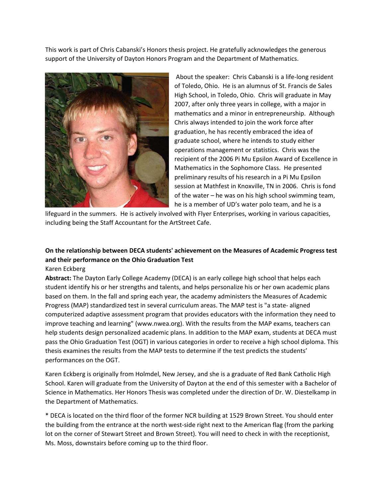This work is part of Chris Cabanski's Honors thesis project. He gratefully acknowledges the generous support of the University of Dayton Honors Program and the Department of Mathematics.



About the speaker: Chris Cabanski is a life‐long resident of Toledo, Ohio. He is an alumnus of St. Francis de Sales High School, in Toledo, Ohio. Chris will graduate in May 2007, after only three years in college, with a major in mathematics and a minor in entrepreneurship. Although Chris always intended to join the work force after graduation, he has recently embraced the idea of graduate school, where he intends to study either operations management or statistics. Chris was the recipient of the 2006 Pi Mu Epsilon Award of Excellence in Mathematics in the Sophomore Class. He presented preliminary results of his research in a Pi Mu Epsilon session at Mathfest in Knoxville, TN in 2006. Chris is fond of the water – he was on his high school swimming team, he is a member of UD's water polo team, and he is a

lifeguard in the summers. He is actively involved with Flyer Enterprises, working in various capacities, including being the Staff Accountant for the ArtStreet Cafe.

# **On the relationship between DECA students' achievement on the Measures of Academic Progress test and their performance on the Ohio Graduation Test**

Karen Eckberg

**Abstract:** The Dayton Early College Academy (DECA) is an early college high school that helps each student identify his or her strengths and talents, and helps personalize his or her own academic plans based on them. In the fall and spring each year, the academy administers the Measures of Academic Progress (MAP) standardized test in several curriculum areas. The MAP test is "a state‐ aligned computerized adaptive assessment program that provides educators with the information they need to improve teaching and learning" (www.nwea.org). With the results from the MAP exams, teachers can help students design personalized academic plans. In addition to the MAP exam, students at DECA must pass the Ohio Graduation Test (OGT) in various categories in order to receive a high school diploma. This thesis examines the results from the MAP tests to determine if the test predicts the students' performances on the OGT.

Karen Eckberg is originally from Holmdel, New Jersey, and she is a graduate of Red Bank Catholic High School. Karen will graduate from the University of Dayton at the end of this semester with a Bachelor of Science in Mathematics. Her Honors Thesis was completed under the direction of Dr. W. Diestelkamp in the Department of Mathematics.

\* DECA is located on the third floor of the former NCR building at 1529 Brown Street. You should enter the building from the entrance at the north west-side right next to the American flag (from the parking lot on the corner of Stewart Street and Brown Street). You will need to check in with the receptionist, Ms. Moss, downstairs before coming up to the third floor.